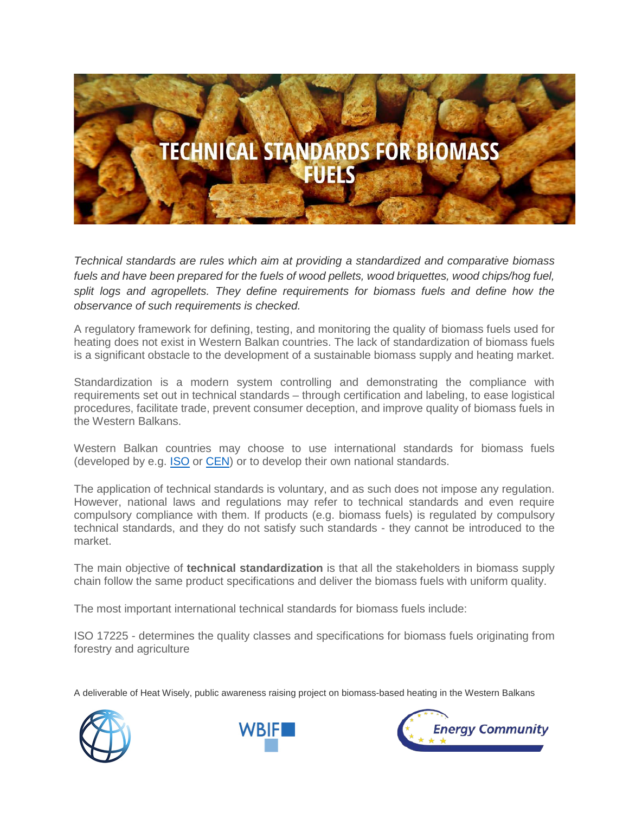

*Technical standards are rules which aim at providing a standardized and comparative biomass*  fuels and have been prepared for the fuels of wood pellets, wood briquettes, wood chips/hog fuel, split logs and agropellets. They define requirements for biomass fuels and define how the *observance of such requirements is checked.*

A regulatory framework for defining, testing, and monitoring the quality of biomass fuels used for heating does not exist in Western Balkan countries. The lack of standardization of biomass fuels is a significant obstacle to the development of a sustainable biomass supply and heating market.

Standardization is a modern system controlling and demonstrating the compliance with requirements set out in technical standards – through certification and labeling, to ease logistical procedures, facilitate trade, prevent consumer deception, and improve quality of biomass fuels in the Western Balkans.

Western Balkan countries may choose to use international standards for biomass fuels (developed by e.g. **ISO** or [CEN\)](http://www.cen.eu/) or to develop their own national standards.

The application of technical standards is voluntary, and as such does not impose any regulation. However, national laws and regulations may refer to technical standards and even require compulsory compliance with them. If products (e.g. biomass fuels) is regulated by compulsory technical standards, and they do not satisfy such standards - they cannot be introduced to the market.

The main objective of **technical standardization** is that all the stakeholders in biomass supply chain follow the same product specifications and deliver the biomass fuels with uniform quality.

The most important international technical standards for biomass fuels include:

ISO 17225 - determines the quality classes and specifications for biomass fuels originating from forestry and agriculture

A deliverable of Heat Wisely, public awareness raising project on biomass-based heating in the Western Balkans